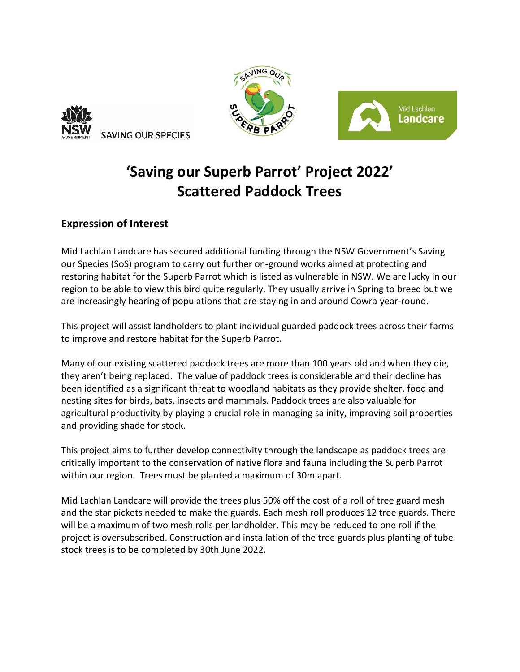





## **'Saving our Superb Parrot' Project 2022' Scattered Paddock Trees**

## **Expression of Interest**

Mid Lachlan Landcare has secured additional funding through the NSW Government's Saving our Species (SoS) program to carry out further on-ground works aimed at protecting and restoring habitat for the Superb Parrot which is listed as vulnerable in NSW. We are lucky in our region to be able to view this bird quite regularly. They usually arrive in Spring to breed but we are increasingly hearing of populations that are staying in and around Cowra year-round.

This project will assist landholders to plant individual guarded paddock trees across their farms to improve and restore habitat for the Superb Parrot.

Many of our existing scattered paddock trees are more than 100 years old and when they die, they aren't being replaced. The value of paddock trees is considerable and their decline has been identified as a significant threat to woodland habitats as they provide shelter, food and nesting sites for birds, bats, insects and mammals. Paddock trees are also valuable for agricultural productivity by playing a crucial role in managing salinity, improving soil properties and providing shade for stock.

This project aims to further develop connectivity through the landscape as paddock trees are critically important to the conservation of native flora and fauna including the Superb Parrot within our region. Trees must be planted a maximum of 30m apart.

Mid Lachlan Landcare will provide the trees plus 50% off the cost of a roll of tree guard mesh and the star pickets needed to make the guards. Each mesh roll produces 12 tree guards. There will be a maximum of two mesh rolls per landholder. This may be reduced to one roll if the project is oversubscribed. Construction and installation of the tree guards plus planting of tube stock trees is to be completed by 30th June 2022.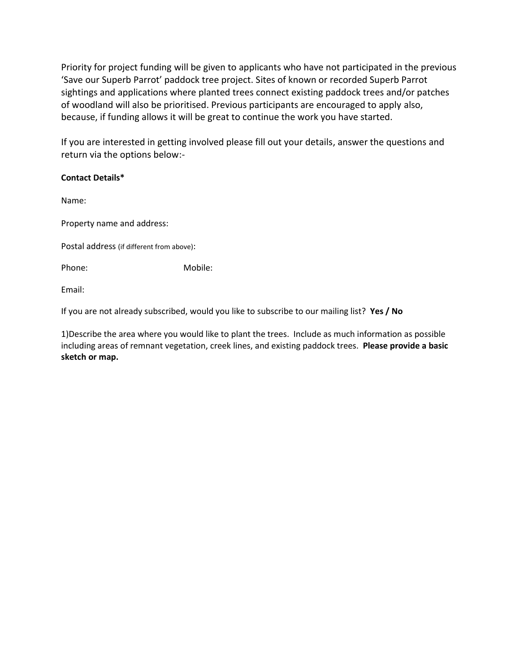Priority for project funding will be given to applicants who have not participated in the previous 'Save our Superb Parrot' paddock tree project. Sites of known or recorded Superb Parrot sightings and applications where planted trees connect existing paddock trees and/or patches of woodland will also be prioritised. Previous participants are encouraged to apply also, because, if funding allows it will be great to continue the work you have started.

If you are interested in getting involved please fill out your details, answer the questions and return via the options below:-

## **Contact Details\***

Name:

Property name and address:

Postal address (if different from above):

Phone: Mobile:

Email:

If you are not already subscribed, would you like to subscribe to our mailing list? **Yes / No**

1)Describe the area where you would like to plant the trees. Include as much information as possible including areas of remnant vegetation, creek lines, and existing paddock trees. **Please provide a basic sketch or map.**